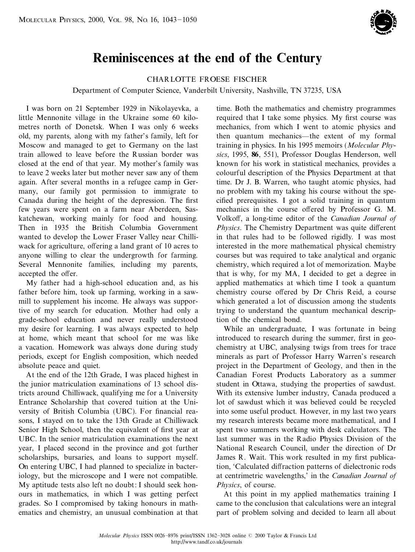

## **Reminiscences at the end of the Century**

## CHARLOTTE FROESE FISCHER

Department of Computer Science, Vanderbilt University, Nashville, TN 37235, USA

I was born on 21 September 1929 in Nikolayevka, a little Mennonite village in the Ukraine some 60 kilometres north of Donetsk. When I was only 6 weeks old, my parents, along with my father's family, left for Moscow and managed to get to Germany on the last train allowed to leave before the Russian border was closed at the end of that year. My mother's family was to leave 2 weeks later but mother never saw any of them again. After several months in a refugee camp in Germany, our family got permission to immigrate to Canada during the height of the depression. The first few years were spent on a farm near Aberdeen, Saskatchewan, working mainly for food and housing. Then in 1935 the British Columbia Government wanted to develop the Lower Fraser Valley near Chilliwack for agriculture, offering a land grant of 10 acres to anyone willing to clear the undergrowth for farming. Several Mennonite families, including my parents, accepted the offer.

My father had a high-school education and, as his father before him, took up farming, working in a sawmill to supplement his income. He always was supportive of my search for education. Mother had only a grade-school education and never really understood my desire for learning. I was always expected to help at home, which meant that school for me was like a vacation. Homework was always done during study periods, except for English composition, which needed absolute peace and quiet.

At the end of the 12th Grade, I was placed highest in the junior matriculation examinations of 13 school districts around Chilliwack, qualifying me for a University Entrance Scholarship that covered tuition at the University of British Columbia (UBC). For financial reasons, I stayed on to take the 13th Grade at Chilliwack Senior High School, then the equivalent of first year at UBC. In the senior matriculation examinations the next year, I placed second in the province and got further scholarships, bursaries, and loans to support myself. On entering UBC, I had planned to specialize in bacteriology, but the microscope and I were not compatible. My aptitude tests also left no doubt: I should seek honours in mathematics, in which I was getting perfect grades. So I compromised by taking honours in mathematics and chemistry, an unusual combination at that

time. Both the mathematics and chemistry programmes required that I take some physics. My first course was mechanics, from which I went to atomic physics and then quantum mechanics—the extent of my formal training in physics. In his 1995 memoirs (*Molecular Physics*, 1995, **86**, 551), Professor Douglas Henderson, well known for his work in statistical mechanics, provides a colourful description of the Physics Department at that time. Dr J. B. Warren, who taught atomic physics, had no problem with my taking his course without the specified prerequisites. I got a solid training in quantum mechanics in the course offered by Professor G. M. Volkoff, a long-time editor of the *Canadian Journal of Physics*. The Chemistry Department was quite different in that rules had to be followed rigidly. I was most interested in the more mathematical physical chemistry courses but was required to take analytical and organic chemistry, which required a lot of memorization. Maybe that is why, for my MA, I decided to get a degree in applied mathematics at which time I took a quantum chemistry course offered by Dr Chris Reid, a course which generated a lot of discussion among the students trying to understand the quantum mechanical description of the chemical bond.

While an undergraduate, I was fortunate in being introduced to research during the summer, first in geochemistry at UBC, analysing twigs from trees for trace minerals as part of Professor Harry Warren's research project in the Department of Geology, and then in the Canadian Forest Products Laboratory as a summer student in Ottawa, studying the properties of sawdust. With its extensive lumber industry, Canada produced a lot of sawdust which it was believed could be recycled into some useful product. However, in my last two years my research interests became more mathematical, and I spent two summers working with desk calculators. The last summer was in the Radio Physics Division of the National Research Council, under the direction of Dr James R. Wait. This work resulted in my first publication, 'Calculated diffraction patterns of dielectronic rods at centrimetric wavelengths,' in the *Canadian Journal of Physics*, of course.

At this point in my applied mathematics training I came to the conclusion that calculations were an integral part of problem solving and decided to learn all about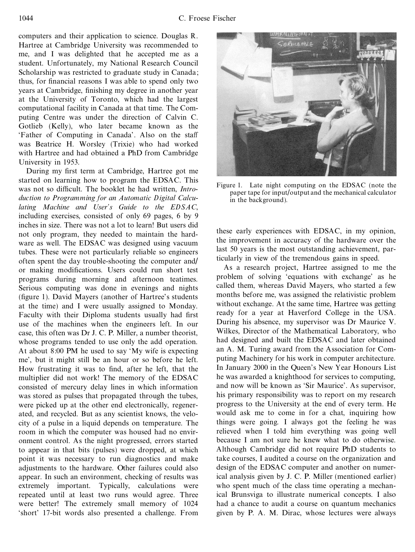computers and their application to science. Douglas R. Hartree at Cambridge University was recommended to me, and I was delighted that he accepted me as a student. Unfortunately, my National Research Council Scholarship was restricted to graduate study in Canada; thus, for financial reasons I was able to spend only two years at Cambridge, finishing my degree in another year at the University of Toronto, which had the largest computational facility in Canada at that time. The Computing Centre was under the direction of Calvin C. Gotlieb (Kelly), who later became known as the 'Father of Computing in Canada'. Also on the staff was Beatrice H. Worsley (Trixie) who had worked with Hartree and had obtained a PhD from Cambridge University in 1953.

During my first term at Cambridge, Hartree got me started on learning how to program the EDSAC. This was not so difficult. The booklet he had written, *Introduction to Programming for an Automatic Digital Calculating Machine and User's Guide to the EDSAC*, including exercises, consisted of only 69 pages, 6 by 9 inches in size. There was not a lot to learn! But users did not only program, they needed to maintain the hardware as well. The EDSAC was designed using vacuum tubes. These were not particularly reliable so engineers often spent the day trouble-shooting the computer and/ or making modifications. Users could run short test programs during morning and afternoon teatimes. Serious computing was done in evenings and nights (figure 1). David Mayers (another of Hartree's students at the time) and I were usually assigned to Monday. Faculty with their Diploma students usually had first use of the machines when the engineers left. In our case, this often was Dr J. C. P. Miller, a number theorist, whose programs tended to use only the add operation. At about 8:00 PM he used to say `My wife is expecting me', but it might still be an hour or so before he left. How frustrating it was to find, after he left, that the multiplier did not work! The memory of the EDSAC consisted of mercury delay lines in which information was stored as pulses that propagated through the tubes, were picked up at the other end electronically, regenerated, and recycled. But as any scientist knows, the velocity of a pulse in a liquid depends on temperature. The room in which the computer was housed had no environment control. As the night progressed, errors started to appear in that bits (pulses) were dropped, at which point it was necessary to run diagnostics and make adjustments to the hardware. Other failures could also appear. In such an environment, checking of results was extremely important. Typically, calculations were repeated until at least two runs would agree. Three were better! The extremely small memory of 1024 `short' 17-bit words also presented a challenge. From



Figure 1. Late night computing on the EDSAC (note the paper tape for input/output and the mechanical calculator in the background).

these early experiences with EDSAC, in my opinion, the improvement in accuracy of the hardware over the last 50 years is the most outstanding achievement, particularly in view of the tremendous gains in speed.

As a research project, Hartree assigned to me the problem of solving `equations with exchange' as he called them, whereas David Mayers, who started a few months before me, was assigned the relativistic problem without exchange. At the same time, Hartree was getting ready for a year at Haverford College in the USA. During his absence, my supervisor was Dr Maurice V. Wilkes, Director of the Mathematical Laboratory, who had designed and built the EDSAC and later obtained an A. M. Turing award from the Association for Computing Machinery for his work in computer architecture. In January 2000 in the Queen's New Year Honours List he was awarded a knighthood for services to computing, and now will be known as 'Sir Maurice'. As supervisor, his primary responsibility was to report on my research progress to the University at the end of every term. He would ask me to come in for a chat, inquiring how things were going. I always got the feeling he was relieved when I told him everything was going well because I am not sure he knew what to do otherwise. Although Cambridge did not require PhD students to take courses, I audited a course on the organization and design of the EDSAC computer and another on numerical analysis given by J. C. P. Miller (mentioned earlier) who spent much of the class time operating a mechanical Brunsviga to illustrate numerical concepts. I also had a chance to audit a course on quantum mechanics given by P. A. M. Dirac, whose lectures were always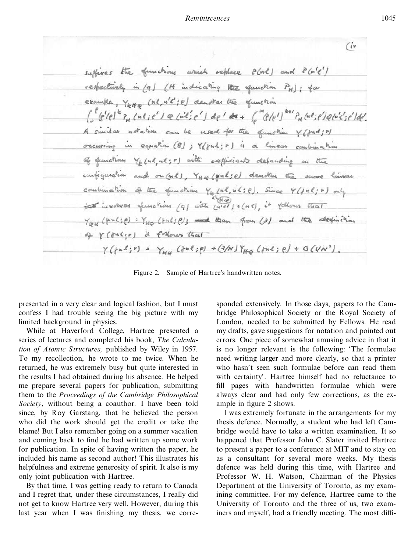Civ sublives the functions which replace  $P(n\ell)$  and  $P(n'\ell')$ respectively in /9] (It indicating the spunction PM); for example, Yeste (nl, n'é; e) denotes the ofunction  $\int_0^e (e^t/e)^{k} r_{\mu} (\text{nl} ; e') \propto (\text{n'k} ; e') d\rho' \text{d} s + \int_0^{\infty} (e/e')^{k+1} r_{\mu} (\text{nl} ; e') \rho (\text{n'k} ; e') d\ell'.$ A similar notation can be used for the quartian Y (part; of occurring in equation (8); Y(yul; r) is a linear combination of functions Y (ul, ul; ") with crefficiants defending on the configuration and on (al), YHO (vul; e) denotes the same linear combination of the functions  $Y_{k}(m\ell,n\ell;\epsilon)$ . Since  $Y(\ell n\ell;n)$  only You (pr(; e) : Ytto (tul; e); and then from (3) and the definition of Y (julgo) it follows that  $\gamma(\gamma_{n}e_{j}r)$  =  $\gamma_{HH}(d^{n}e_{j}e)$  +  $(d/N)\gamma_{HQ}(d^{n}e_{j}e)$  +  $d(TN^{2})$ ,

Figure 2. Sample of Hartree's handwritten notes.

presented in a very clear and logical fashion, but I must confess I had trouble seeing the big picture with my limited background in physics.

While at Haverford College, Hartree presented a series of lectures and completed his book, *The Calculation of Atomic Structures,* published by Wiley in 1957. To my recollection, he wrote to me twice. When he returned, he was extremely busy but quite interested in the results I had obtained during his absence. He helped me prepare several papers for publication, submitting them to the *Proceedings of the Cambridge Philosophical Society*, without being a coauthor. I have been told since, by Roy Garstang, that he believed the person who did the work should get the credit or take the blame! But I also remember going on a summer vacation and coming back to find he had written up some work for publication. In spite of having written the paper, he included his name as second author! This illustrates his helpfulness and extreme generosity of spirit. It also is my only joint publication with Hartree.

By that time, I was getting ready to return to Canada and I regret that, under these circumstances, I really did not get to know Hartree very well. However, during this last year when I was finishing my thesis, we corresponded extensively. In those days, papers to the Cambridge Philosophical Society or the Royal Society of London, needed to be submitted by Fellows. He read my drafts, gave suggestions for notation and pointed out errors. One piece of somewhat amusing advice in that it is no longer relevant is the following: 'The formulae' need writing larger and more clearly, so that a printer who hasn't seen such formulae before can read them with certainty'. Hartree himself had no reluctance to fill pages with handwritten formulae which were always clear and had only few corrections, as the example in figure 2 shows.

I was extremely fortunate in the arrangements for my thesis defence. Normally, a student who had left Cambridge would have to take a written examination. It so happened that Professor John C. Slater invited Hartree to present a paper to a conference at MIT and to stay on as a consultant for several more weeks. My thesis defence was held during this time, with Hartree and Professor W. H. Watson, Chairman of the Physics Department at the University of Toronto, as my examining committee. For my defence, Hartree came to the University of Toronto and the three of us, two examiners and myself, had a friendly meeting. The most diffi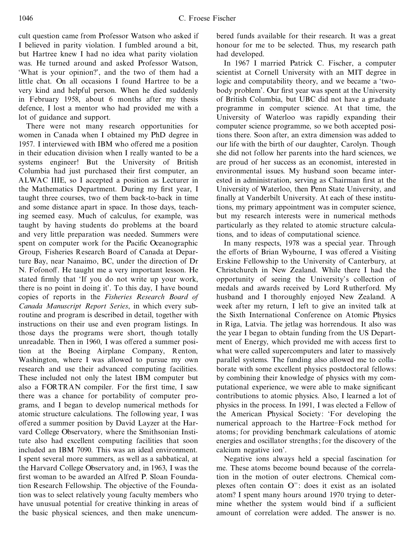cult question came from Professor Watson who asked if I believed in parity violation. I fumbled around a bit, but Hartree knew I had no idea what parity violation was. He turned around and asked Professor Watson, 'What is your opinion?', and the two of them had a little chat. On all occasions I found Hartree to be a very kind and helpful person. When he died suddenly in February 1958, about 6 months after my thesis defence, I lost a mentor who had provided me with a lot of guidance and support.

There were not many research opportunities for women in Canada when I obtained my PhD degree in 1957. I interviewed with IBM who offered me a position in their education division when I really wanted to be a systems engineer! But the University of British Columbia had just purchased their first computer, an ALWAC IIIE, so I accepted a position as Lecturer in the Mathematics Department. During my first year, I taught three courses, two of them back-to-back in time and some distance apart in space. In those days, teaching seemed easy. Much of calculus, for example, was taught by having students do problems at the board and very little preparation was needed. Summers were spent on computer work for the Pacific Oceanographic Group, Fisheries Research Board of Canada at Departure Bay, near Nanaimo, BC, under the direction of Dr N. Fofonoff. He taught me a very important lesson. He stated firmly that 'If you do not write up your work, there is no point in doing it'. To this day, I have bound copies of reports in the *Fisheries Research Board of Canada Manuscript Report Series*, in which every subroutine and program is described in detail, together with instructions on their use and even program listings. In those days the programs were short, though totally unreadable. Then in 1960, I was offered a summer position at the Boeing Airplane Company, Renton, Washington, where I was allowed to pursue my own research and use their advanced computing facilities. These included not only the latest IBM computer but also a FORTRAN compiler. For the first time, I saw there was a chance for portability of computer programs, and I began to develop numerical methods for atomic structure calculations. The following year, I was offered a summer position by David Layzer at the Harvard College Observatory, where the Smithsonian Institute also had excellent computing facilities that soon included an IBM 7090. This was an ideal environment. I spent several more summers, as well as a sabbatical, at the Harvard College Observatory and, in 1963, I was the first woman to be awarded an Alfred P. Sloan Foundation Research Fellowship. The objective of the Foundation was to select relatively young faculty members who have unusual potential for creative thinking in areas of the basic physical sciences, and then make unencumbered funds available for their research. It was a great honour for me to be selected. Thus, my research path had developed.

In 1967 I married Patrick C. Fischer, a computer scientist at Cornell University with an MIT degree in logic and computability theory, and we became a 'twobody problem'. Our first year was spent at the University of British Columbia, but UBC did not have a graduate programme in computer science. At that time, the University of Waterloo was rapidly expanding their computer science programme, so we both accepted positions there. Soon after, an extra dimension was added to our life with the birth of our daughter, Carolyn. Though she did not follow her parents into the hard sciences, we are proud of her success as an economist, interested in environmental issues. My husband soon became interested in administration, serving as Chairman first at the University of Waterloo, then Penn State University, and finally at Vanderbilt University. At each of these institutions, my primary appointment was in computer science, but my research interests were in numerical methods particularly as they related to atomic structure calculations, and to ideas of computational science.

In many respects, 1978 was a special year. Through the efforts of Brian Wybourne, I was offered a Visiting Erskine Fellowship to the University of Canterbury, at Christchurch in New Zealand. While there I had the opportunity of seeing the University's collection of medals and awards received by Lord Rutherford. My husband and I thoroughly enjoyed New Zealand. A week after my return, I left to give an invited talk at the Sixth International Conference on Atomic Physics in Riga, Latvia. The jetlag was horrendous. It also was the year I began to obtain funding from the US Department of Energy, which provided me with access first to what were called supercomputers and later to massively parallel systems. The funding also allowed me to collaborate with some excellent physics postdoctoral fellows: by combining their knowledge of physics with my computational experience, we were able to make significant contributions to atomic physics. Also, I learned a lot of physics in the process. In 1991, I was elected a Fellow of the American Physical Society: `For developing the numerical approach to the Hartree-Fock method for atoms; for providing benchmark calculations of atomic energies and oscillator strengths; for the discovery of the calcium negative ion'.

Negative ions always held a special fascination for me. These atoms become bound because of the correlation in the motion of outer electrons. Chemical complexes often contain  $O^=$ : does it exist as an isolated atom? I spent many hours around 1970 trying to determine whether the system would bind if a sufficient amount of correlation were added. The answer is no.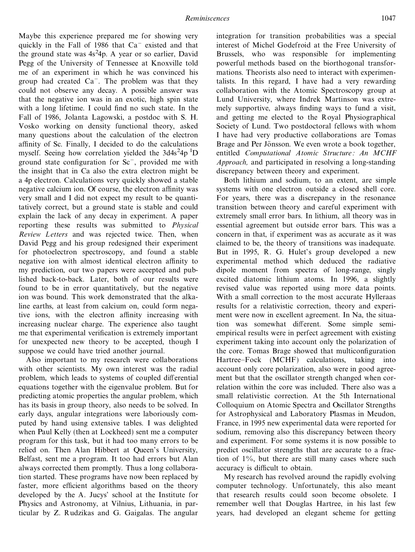Maybe this experience prepared me for showing very quickly in the Fall of 1986 that  $Ca^-$  existed and that the ground state was  $4s^24p$ . A year or so earlier, David Pegg of the University of Tennessee at Knoxville told me of an experiment in which he was convinced his group had created  $Ca^{-}$ . The problem was that they could not observe any decay. A possible answer was that the negative ion was in an exotic, high spin state with a long lifetime. I could find no such state. In the Fall of 1986, Jolanta Lagowski, a postdoc with S. H. Vosko working on density functional theory, asked many questions about the calculation of the electron affinity of Sc. Finally, I decided to do the calculations myself. Seeing how correlation yielded the  $3d4s^24p$  <sup>1</sup>D ground state configuration for  $Sc^-$ , provided me with the insight that in Ca also the extra electron might be a 4p electron. Calculations very quickly showed a stable negative calcium ion. Of course, the electron affinity was very small and I did not expect my result to be quantitatively correct, but a ground state is stable and could explain the lack of any decay in experiment. A paper reporting these results was submitted to *Physical Review L etters* and was rejected twice. Then, when David Pegg and his group redesigned their experiment for photoelectron spectroscopy, and found a stable negative ion with almost identical electron affinity to my prediction, our two papers were accepted and published back-to-back. Later, both of our results were found to be in error quantitatively, but the negative ion was bound. This work demonstrated that the alkaline earths, at least from calcium on, could form negative ions, with the electron affinity increasing with increasing nuclear charge. The experience also taught me that experimental verification is extremely important for unexpected new theory to be accepted, though I suppose we could have tried another journal.

Also important to my research were collaborations with other scientists. My own interest was the radial problem, which leads to systems of coupled differential equations together with the eigenvalue problem. But for predicting atomic properties the angular problem, which has its basis in group theory, also needs to be solved. In early days, angular integrations were laboriously computed by hand using extensive tables. I was delighted when Paul Kelly (then at Lockheed) sent me a computer program for this task, but it had too many errors to be relied on. Then Alan Hibbert at Queen's University, Belfast, sent me a program. It too had errors but Alan always corrected them promptly. Thus a long collaboration started. These programs have now been replaced by faster, more efficient algorithms based on the theory developed by the A. Jucys' school at the Institute for Physics and Astronomy, at Vilnius, Lithuania, in particular by Z. Rudzikas and G. Gaigalas. The angular integration for transition probabilities was a special interest of Michel Godefroid at the Free University of Brussels, who was responsible for implementing powerful methods based on the biorthogonal transformations. Theorists also need to interact with experimentalists. In this regard, I have had a very rewarding collaboration with the Atomic Spectroscopy group at Lund University, where Indrek Martinson was extremely supportive, always finding ways to fund a visit, and getting me elected to the Royal Physiographical Society of Lund. Two postdoctoral fellows with whom I have had very productive collaborations are Tomas Brage and Per Jönsson. We even wrote a book together, entitled *Computational Atomic Structure : An MCHF Approach,* and participated in resolving a long-standing discrepancy between theory and experiment.

Both lithium and sodium, to an extent, are simple systems with one electron outside a closed shell core. For years, there was a discrepancy in the resonance transition between theory and careful experiment with extremely small error bars. In lithium, all theory was in essential agreement but outside error bars. This was a concern in that, if experiment was as accurate as it was claimed to be, the theory of transitions was inadequate. But in 1995, R. G. Hulet's group developed a new experimental method which deduced the radiative dipole moment from spectra of long-range, singly excited diatomic lithium atoms. In 1996, a slightly revised value was reported using more data points. With a small correction to the most accurate Hylleraas results for a relativistic correction, theory and experiment were now in excellent agreement. In Na, the situation was somewhat different. Some simple semiempirical results were in perfect agreement with existing experiment taking into account only the polarization of the core. Tomas Brage showed that multiconfiguration Hartree-Fock (MCHF) calculations, taking into account only core polarization, also were in good agreement but that the oscillator strength changed when correlation within the core was included. There also was a small relativistic correction. At the 5th International Colloquium on Atomic Spectra and Oscillator Strengths for Astrophysical and Laboratory Plasmas in Meudon, France, in 1995 new experimental data were reported for sodium, removing also this discrepancy between theory and experiment. For some systems it is now possible to predict oscillator strengths that are accurate to a fraction of 1%, but there are still many cases where such accuracy is difficult to obtain.

My research has revolved around the rapidly evolving computer technology. Unfortunately, this also meant that research results could soon become obsolete. I remember well that Douglas Hartree, in his last few years, had developed an elegant scheme for getting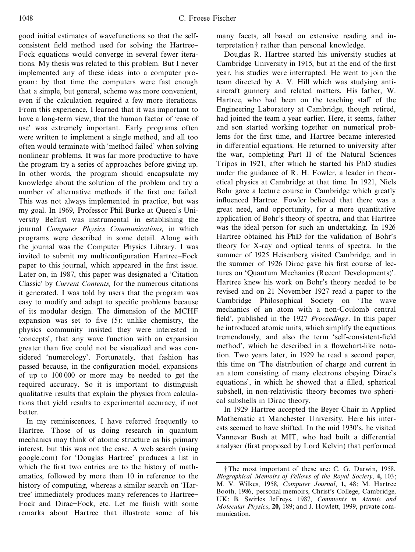good initial estimates of wavefunctions so that the self consistent field method used for solving the Hartree-Fock equations would converge in several fewer iterations. My thesis was related to this problem. But I never implemented any of these ideas into a computer program: by that time the computers were fast enough that a simple, but general, scheme was more convenient, even if the calculation required a few more iterations. From this experience, I learned that it was important to have a long-term view, that the human factor of 'ease of use' was extremely important. Early programs often were written to implement a single method, and all too often would terminate with `method failed' when solving nonlinear problems. It was far more productive to have the program try a series of approaches before giving up. In other words, the program should encapsulate my knowledge about the solution of the problem and try a number of alternative methods if the first one failed. This was not always implemented in practice, but was my goal. In 1969, Professor Phil Burke at Queen's University Belfast was instrumental in establishing the journal *Computer Physics Communications,* in which programs were described in some detail. Along with the journal was the Computer Physics Library. I was invited to submit my multiconfiguration Hartree-Fock paper to this journal, which appeared in the first issue. Later on, in 1987, this paper was designated a 'Citation Classic' by *Current Contents,* for the numerous citations it generated. I was told by users that the program was easy to modify and adapt to specific problems because of its modular design. The dimension of the MCHF expansion was set to five  $(5)$ : unlike chemistry, the physics community insisted they were interested in 'concepts', that any wave function with an expansion greater than five could not be visualized and was considered 'numerology'. Fortunately, that fashion has passed because, in the configuration model, expansions of up to 100 000 or more may be needed to get the required accuracy. So it is important to distinguish qualitative results that explain the physics from calculations that yield results to experimental accuracy, if not better.

In my reminiscences, I have referred frequently to Hartree. Those of us doing research in quantum mechanics may think of atomic structure as his primary interest, but this was not the case. A web search (using google.com) for `Douglas Hartree' produces a list in which the first two entries are to the history of mathematics, followed by more than 10 in reference to the history of computing, whereas a similar search on 'Hartree' immediately produces many references to Hartree-Fock and Dirac-Fock, etc. Let me finish with some remarks about Hartree that illustrate some of his

many facets, all based on extensive reading and interpretation† rather than personal knowledge.

Douglas R. Hartree started his university studies at Cambridge University in 1915, but at the end of the first year, his studies were interrupted. He went to join the team directed by A. V. Hill which was studying antiaircraft gunnery and related matters. His father, W. Hartree, who had been on the teaching staff of the Engineering Laboratory at Cambridge, though retired, had joined the team a year earlier. Here, it seems, father and son started working together on numerical problems for the first time, and Hartree became interested in differential equations. He returned to university after the war, completing Part II of the Natural Sciences Tripos in 1921, after which he started his PhD studies under the guidance of R. H. Fowler, a leader in theoretical physics at Cambridge at that time. In 1921, Niels Bohr gave a lecture course in Cambridge which greatly influenced Hartree. Fowler believed that there was a great need, and opportunity, for a more quantitative application of Bohr's theory of spectra, and that Hartree was the ideal person for such an undertaking. In 1926 Hartree obtained his PhD for the validation of Bohr's theory for X-ray and optical terms of spectra. In the summer of 1925 Heisenberg visited Cambridge, and in the summer of 1926 Dirac gave his first course of lectures on 'Quantum Mechanics (Recent Developments)'. Hartree knew his work on Bohr's theory needed to be revised and on 21 November 1927 read a paper to the Cambridge Philosophical Society on `The wave mechanics of an atom with a non-Coulomb central field', published in the 1927 *Proceedings*. In this paper he introduced atomic units, which simplify the equations tremendously, and also the term 'self-consistent-field method', which he described in a flowchart-like notation. Two years later, in 1929 he read a second paper, this time on `The distribution of charge and current in an atom consisting of many electrons obeying Dirac's equations', in which he showed that a filled, spherical subshell, in non-relativistic theory becomes two spherical subshells in Dirac theory.

In 1929 Hartree accepted the Beyer Chair in Applied Mathematic at Manchester University. Here his interests seemed to have shifted. In the mid 1930's, he visited Vannevar Bush at MIT, who had built a differential analyser (first proposed by Lord Kelvin) that performed

<sup>{</sup> The most important of these are: C. G. Darwin, 1958, *Biographical Memoirs of Fellows of the Royal Society*, **4,** 103; M. V. Wilkes, 1958, *Computer Journal*, **1,** 48; M. Hartree Booth, 1986, personal memoirs, Christ's College, Cambridge, UK; B. Swirles Jeffreys, 1987, Comments in Atomic and *Molecular Physics*, **20,** 189; and J. Howlett, 1999, private com munication.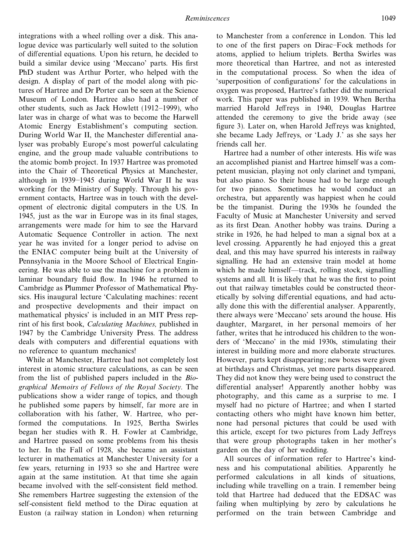integrations with a wheel rolling over a disk. This analogue device was particularly well suited to the solution of differential equations. Upon his return, he decided to build a similar device using 'Meccano' parts. His first PhD student was Arthur Porter, who helped with the design. A display of part of the model along with pictures of Hartree and Dr Porter can be seen at the Science Museum of London. Hartree also had a number of other students, such as Jack Howlett  $(1912-1999)$ , who later was in charge of what was to become the Harwell Atomic Energy Establishment's computing section. During World War II, the Manchester differential analyser was probably Europe's most powerful calculating engine, and the group made valuable contributions to the atomic bomb project. In 1937 Hartree was promoted into the Chair of Theoretical Physics at Manchester, although in 1939-1945 during World War II he was working for the Ministry of Supply. Through his government contacts, Hartree was in touch with the development of electronic digital computers in the US. In 1945, just as the war in Europe was in its final stages, arrangements were made for him to see the Harvard Automatic Sequence Controller in action. The next year he was invited for a longer period to advise on the ENIAC computer being built at the University of Pennsylvania in the Moore School of Electrical Engineering. He was able to use the machine for a problem in laminar boundary fluid flow. In 1946 he returned to Cambridge as Plummer Professor of Mathematical Physics. His inaugural lecture 'Calculating machines: recent and prospective developments and their impact on mathematical physics' is included in an MIT Press reprint of his first book, *Calculating Machines*, published in 1947 by the Cambridge University Press*.* The address deals with computers and differential equations with no reference to quantum mechanics!

While at Manchester, Hartree had not completely lost interest in atomic structure calculations, as can be seen from the list of published papers included in the *Biographical Memoirs of Fellows of the Royal Society.* The publications show a wider range of topics, and though he published some papers by himself, far more are in collaboration with his father, W. Hartree, who performed the computations. In 1925, Bertha Swirles began her studies with R. H. Fowler at Cambridge, and Hartree passed on some problems from his thesis to her. In the Fall of 1928, she became an assistant lecturer in mathematics at Manchester University for a few years, returning in 1933 so she and Hartree were again at the same institution. At that time she again became involved with the self-consistent field method. She remembers Hartree suggesting the extension of the self-consistent field method to the Dirac equation at Euston (a railway station in London) when returning to Manchester from a conference in London. This led to one of the first papers on Dirac-Fock methods for atoms, applied to helium triplets. Bertha Swirles was more theoretical than Hartree, and not as interested in the computational process. So when the idea of 'superposition of configurations' for the calculations in oxygen was proposed, Hartree's father did the numerical work. This paper was published in 1939. When Bertha married Harold Jeffreys in 1940, Douglas Hartree attended the ceremony to give the bride away (see figure 3). Later on, when Harold Jeffreys was knighted, she became Lady Jeffreys, or 'Lady J.' as she says her friends call her.

Hartree had a number of other interests. His wife was an accomplished pianist and Hartree himself was a competent musician, playing not only clarinet and tympani, but also piano. So their house had to be large enough for two pianos. Sometimes he would conduct an orchestra, but apparently was happiest when he could be the timpanist. During the 1930s he founded the Faculty of Music at Manchester University and served as its first Dean. Another hobby was trains. During a strike in 1926, he had helped to man a signal box at a level crossing. Apparently he had enjoyed this a great deal, and this may have spurred his interests in railway signalling. He had an extensive train model at home which he made himself—track, rolling stock, signalling systems and all. It is likely that he was the first to point out that railway timetables could be constructed theoretically by solving differential equations, and had actually done this with the differential analyser. Apparently, there always were `Meccano' sets around the house. His daughter, Margaret, in her personal memoirs of her father, writes that he introduced his children to the wonders of `Meccano' in the mid 1930s, stimulating their interest in building more and more elaborate structures. However, parts kept disappearing ; new boxes were given at birthdays and Christmas, yet more parts disappeared. They did not know they were being used to construct the differential analyser! Apparently another hobby was photography, and this came as a surprise to me. I myself had no picture of Hartree; and when I started contacting others who might have known him better, none had personal pictures that could be used with this article, except for two pictures from Lady Jeffreys that were group photographs taken in her mother's garden on the day of her wedding.

All sources of information refer to Hartree's kindness and his computational abilities. Apparently he performed calculations in all kinds of situations, including while travelling on a train. I remember being told that Hartree had deduced that the EDSAC was failing when multiplying by zero by calculations he performed on the train between Cambridge and